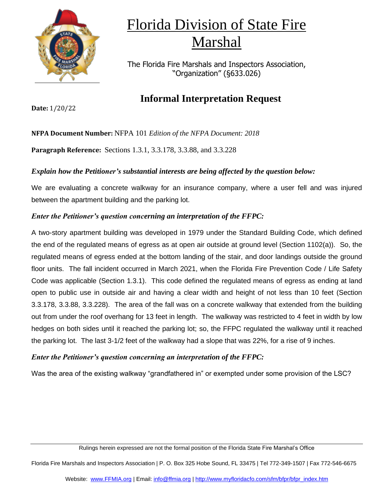

The Florida Fire Marshals and Inspectors Association, "Organization" (§633.026)

### **Informal Interpretation Request**

**Date:** 1/20/22

**NFPA Document Number:** NFPA 101 *Edition of the NFPA Document: 2018*

**Paragraph Reference:** Sections 1.3.1, 3.3.178, 3.3.88, and 3.3.228

### *Explain how the Petitioner's substantial interests are being affected by the question below:*

We are evaluating a concrete walkway for an insurance company, where a user fell and was injured between the apartment building and the parking lot.

### *Enter the Petitioner's question concerning an interpretation of the FFPC:*

A two-story apartment building was developed in 1979 under the Standard Building Code, which defined the end of the regulated means of egress as at open air outside at ground level (Section 1102(a)). So, the regulated means of egress ended at the bottom landing of the stair, and door landings outside the ground floor units. The fall incident occurred in March 2021, when the Florida Fire Prevention Code / Life Safety Code was applicable (Section 1.3.1). This code defined the regulated means of egress as ending at land open to public use in outside air and having a clear width and height of not less than 10 feet (Section 3.3.178, 3.3.88, 3.3.228). The area of the fall was on a concrete walkway that extended from the building out from under the roof overhang for 13 feet in length. The walkway was restricted to 4 feet in width by low hedges on both sides until it reached the parking lot; so, the FFPC regulated the walkway until it reached the parking lot. The last 3-1/2 feet of the walkway had a slope that was 22%, for a rise of 9 inches.

#### *Enter the Petitioner's question concerning an interpretation of the FFPC:*

Was the area of the existing walkway "grandfathered in" or exempted under some provision of the LSC?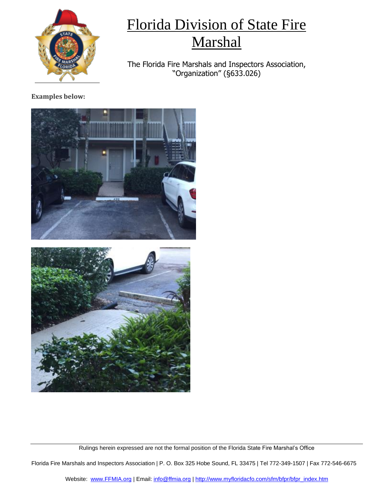

The Florida Fire Marshals and Inspectors Association, "Organization" (§633.026)

### **Examples below:**



Rulings herein expressed are not the formal position of the Florida State Fire Marshal's Office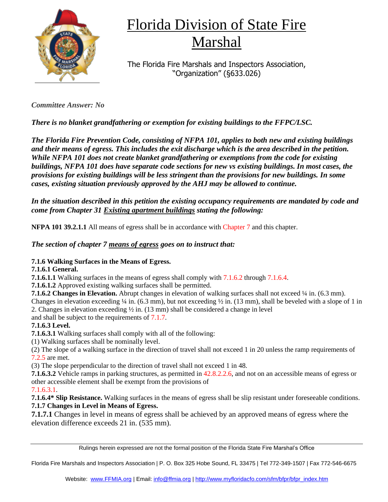

The Florida Fire Marshals and Inspectors Association, "Organization" (§633.026)

*Committee Answer: No*

*There is no blanket grandfathering or exemption for existing buildings to the FFPC/LSC.* 

*The Florida Fire Prevention Code, consisting of NFPA 101, applies to both new and existing buildings and their means of egress. This includes the exit discharge which is the area described in the petition. While NFPA 101 does not create blanket grandfathering or exemptions from the code for existing buildings, NFPA 101 does have separate code sections for new vs existing buildings. In most cases, the provisions for existing buildings will be less stringent than the provisions for new buildings. In some cases, existing situation previously approved by the AHJ may be allowed to continue.*

*In the situation described in this petition the existing occupancy requirements are mandated by code and come from Chapter 31 Existing apartment buildings stating the following:*

**NFPA 101 39.2.1.1** All means of egress shall be in accordance with Chapter 7 and this chapter.

*The section of chapter 7 means of egress goes on to instruct that:*

### **7.1.6 Walking Surfaces in the Means of Egress.**

### **7.1.6.1 General.**

**7.1.6.1.1** Walking surfaces in the means of egress shall comply with 7.1.6.2 through 7.1.6.4.

**7.1.6.1.2** Approved existing walking surfaces shall be permitted.

**7.1.6.2 Changes in Elevation.** Abrupt changes in elevation of walking surfaces shall not exceed ¼ in. (6.3 mm).

Changes in elevation exceeding  $\frac{1}{4}$  in. (6.3 mm), but not exceeding  $\frac{1}{2}$  in. (13 mm), shall be beveled with a slope of 1 in 2. Changes in elevation exceeding  $\frac{1}{2}$  in. (13 mm) shall be considered a change in level

and shall be subject to the requirements of 7.1.7.

### **7.1.6.3 Level.**

**7.1.6.3.1** Walking surfaces shall comply with all of the following:

(1) Walking surfaces shall be nominally level.

(2) The slope of a walking surface in the direction of travel shall not exceed 1 in 20 unless the ramp requirements of 7.2.5 are met.

(3) The slope perpendicular to the direction of travel shall not exceed 1 in 48.

**7.1.6.3.2** Vehicle ramps in parking structures, as permitted in 42.8.2.2.6, and not on an accessible means of egress or other accessible element shall be exempt from the provisions of

### 7.1.6.3.1.

**7.1.6.4\* Slip Resistance.** Walking surfaces in the means of egress shall be slip resistant under foreseeable conditions. **7.1.7 Changes in Level in Means of Egress.**

**7.1.7.1** Changes in level in means of egress shall be achieved by an approved means of egress where the elevation difference exceeds 21 in. (535 mm).

Rulings herein expressed are not the formal position of the Florida State Fire Marshal's Office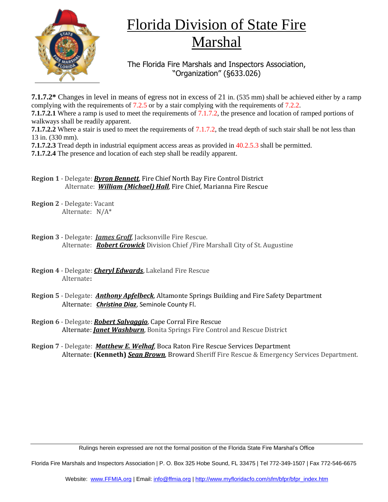

The Florida Fire Marshals and Inspectors Association, "Organization" (§633.026)

**7.1.7.2\*** Changes in level in means of egress not in excess of 21 in. (535 mm) shall be achieved either by a ramp complying with the requirements of 7.2.5 or by a stair complying with the requirements of 7.2.2.

**7.1.7.2.1** Where a ramp is used to meet the requirements of 7.1.7.2, the presence and location of ramped portions of walkways shall be readily apparent.

**7.1.7.2.2** Where a stair is used to meet the requirements of 7.1.7.2, the tread depth of such stair shall be not less than 13 in. (330 mm).

**7.1.7.2.3** Tread depth in industrial equipment access areas as provided in 40.2.5.3 shall be permitted.

**7.1.7.2.4** The presence and location of each step shall be readily apparent.

**Region 1** - Delegate: *Byron Bennett*, Fire Chief North Bay Fire Control District Alternate: *William (Michael) Hall*, Fire Chief, Marianna Fire Rescue

- **Region 2** Delegate: Vacant Alternate: N/A\*
- **Region 3** Delegate: *James Groff*, Jacksonville Fire Rescue. Alternate: *Robert Growick* Division Chief /Fire Marshall City of St. Augustine
- **Region 4** Delegate: *Cheryl Edwards*, Lakeland Fire Rescue Alternate**:**
- **Region 5** Delegate: *Anthony Apfelbeck*, Altamonte Springs Building and Fire Safety Department Alternate: *Christina Diaz*, Seminole County Fl.
- **Region 6** Delegate: *Robert Salvaggio*, Cape Corral Fire Rescue Alternate: *Janet Washburn*, Bonita Springs Fire Control and Rescue District
- **Region 7** Delegate: *Matthew E. Welhaf*, Boca Raton Fire Rescue Services Department Alternate: **(Kenneth)** *Sean Brown*, Broward Sheriff Fire Rescue & Emergency Services Department.

Rulings herein expressed are not the formal position of the Florida State Fire Marshal's Office